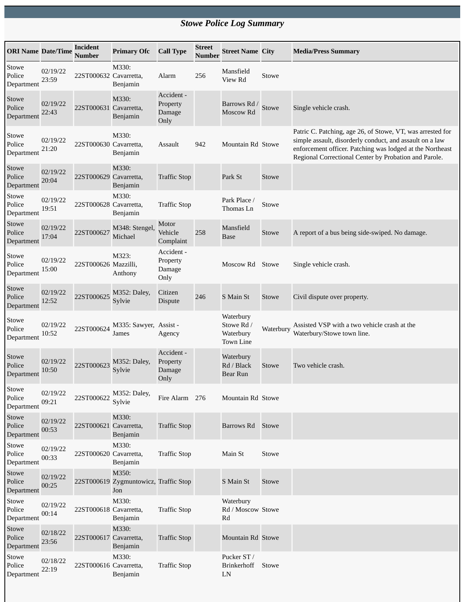## *Stowe Police Log Summary*

| <b>ORI Name Date/Time</b>     |                   | <b>Incident</b><br><b>Number</b> | <b>Primary Ofc</b>                                    | <b>Call Type</b>                         | <b>Street</b><br><b>Number</b> | <b>Street Name City</b>                                  |           | <b>Media/Press Summary</b>                                                                                                                                                                                                                   |
|-------------------------------|-------------------|----------------------------------|-------------------------------------------------------|------------------------------------------|--------------------------------|----------------------------------------------------------|-----------|----------------------------------------------------------------------------------------------------------------------------------------------------------------------------------------------------------------------------------------------|
| Stowe<br>Police<br>Department | 02/19/22<br>23:59 | 22ST000632 Cavarretta,           | M330:<br>Benjamin                                     | Alarm                                    | 256                            | Mansfield<br>View Rd                                     | Stowe     |                                                                                                                                                                                                                                              |
| Stowe<br>Police<br>Department | 02/19/22<br>22:43 | 22ST000631 Cavarretta,           | M330:<br>Benjamin                                     | Accident -<br>Property<br>Damage<br>Only |                                | Barrows Rd /<br>Moscow Rd                                | Stowe     | Single vehicle crash.                                                                                                                                                                                                                        |
| Stowe<br>Police<br>Department | 02/19/22<br>21:20 | 22ST000630 Cavarretta,           | M330:<br>Benjamin                                     | Assault                                  | 942                            | Mountain Rd Stowe                                        |           | Patric C. Patching, age 26, of Stowe, VT, was arrested for<br>simple assault, disorderly conduct, and assault on a law<br>enforcement officer. Patching was lodged at the Northeast<br>Regional Correctional Center by Probation and Parole. |
| Stowe<br>Police<br>Department | 02/19/22<br>20:04 | 22ST000629 Cavarretta,           | M330:<br>Benjamin                                     | <b>Traffic Stop</b>                      |                                | Park St                                                  | Stowe     |                                                                                                                                                                                                                                              |
| Stowe<br>Police<br>Department | 02/19/22<br>19:51 | 22ST000628 Cavarretta,           | M330:<br>Benjamin                                     | <b>Traffic Stop</b>                      |                                | Park Place /<br>Thomas Ln                                | Stowe     |                                                                                                                                                                                                                                              |
| Stowe<br>Police<br>Department | 02/19/22<br>17:04 | 22ST000627                       | M348: Stengel,<br>Michael                             | Motor<br>Vehicle<br>Complaint            | 258                            | Mansfield<br><b>Base</b>                                 | Stowe     | A report of a bus being side-swiped. No damage.                                                                                                                                                                                              |
| Stowe<br>Police<br>Department | 02/19/22<br>15:00 | 22ST000626 Mazzilli,             | M323:<br>Anthony                                      | Accident -<br>Property<br>Damage<br>Only |                                | Moscow Rd                                                | Stowe     | Single vehicle crash.                                                                                                                                                                                                                        |
| Stowe<br>Police<br>Department | 02/19/22<br>12:52 | 22ST000625                       | M352: Daley,<br>Sylvie                                | Citizen<br><b>Dispute</b>                | 246                            | S Main St                                                | Stowe     | Civil dispute over property.                                                                                                                                                                                                                 |
| Stowe<br>Police<br>Department | 02/19/22<br>10:52 | 22ST000624                       | M335: Sawyer, Assist -<br>James                       | Agency                                   |                                | Waterbury<br>Stowe Rd /<br>Waterbury<br><b>Town Line</b> | Waterbury | Assisted VSP with a two vehicle crash at the<br>Waterbury/Stowe town line.                                                                                                                                                                   |
| Stowe<br>Police<br>Department | 02/19/22<br>10:50 | 22ST000623                       | M352: Daley,<br>Sylvie                                | Accident -<br>Property<br>Damage<br>Only |                                | Waterbury<br>Rd / Black<br>Bear Run                      | Stowe     | Two vehicle crash.                                                                                                                                                                                                                           |
| Stowe<br>Police<br>Department | 02/19/22<br>09:21 | 22ST000622                       | M352: Daley,<br>Sylvie                                | Fire Alarm 276                           |                                | Mountain Rd Stowe                                        |           |                                                                                                                                                                                                                                              |
| Stowe<br>Police<br>Department | 02/19/22<br>00:53 | 22ST000621 Cavarretta,           | M330:<br>Benjamin                                     | <b>Traffic Stop</b>                      |                                | Barrows Rd                                               | Stowe     |                                                                                                                                                                                                                                              |
| Stowe<br>Police<br>Department | 02/19/22<br>00:33 | 22ST000620 Cavarretta,           | M330:<br>Benjamin                                     | <b>Traffic Stop</b>                      |                                | Main St                                                  | Stowe     |                                                                                                                                                                                                                                              |
| Stowe<br>Police<br>Department | 02/19/22<br>00:25 |                                  | M350:<br>22ST000619 Zygmuntowicz, Traffic Stop<br>Jon |                                          |                                | S Main St                                                | Stowe     |                                                                                                                                                                                                                                              |
| Stowe<br>Police<br>Department | 02/19/22<br>00:14 | 22ST000618 Cavarretta,           | M330:<br>Benjamin                                     | <b>Traffic Stop</b>                      |                                | Waterbury<br>Rd / Moscow Stowe<br>Rd                     |           |                                                                                                                                                                                                                                              |
| Stowe<br>Police<br>Department | 02/18/22<br>23:56 | 22ST000617 Cavarretta,           | M330:<br>Benjamin                                     | <b>Traffic Stop</b>                      |                                | Mountain Rd Stowe                                        |           |                                                                                                                                                                                                                                              |
| Stowe<br>Police<br>Department | 02/18/22<br>22:19 | 22ST000616 Cavarretta,           | M330:<br>Benjamin                                     | <b>Traffic Stop</b>                      |                                | Pucker ST /<br>Brinkerhoff<br>LN                         | Stowe     |                                                                                                                                                                                                                                              |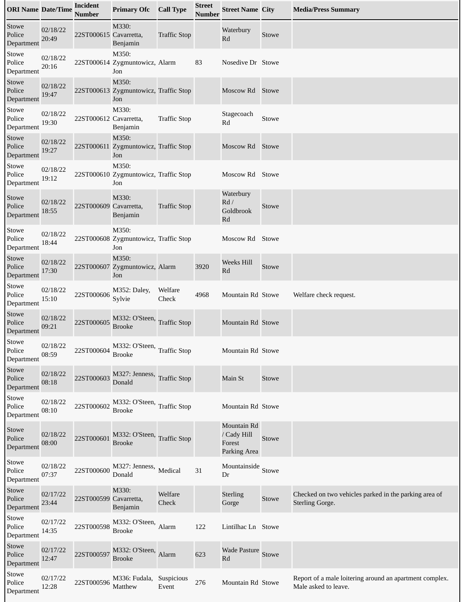| <b>ORI Name Date/Time</b>     |                   | <b>Incident</b><br><b>Number</b> | <b>Primary Ofc</b>                                    | <b>Call Type</b>    | <b>Street</b><br><b>Number</b> | <b>Street Name City</b>                              |       | <b>Media/Press Summary</b>                                                      |
|-------------------------------|-------------------|----------------------------------|-------------------------------------------------------|---------------------|--------------------------------|------------------------------------------------------|-------|---------------------------------------------------------------------------------|
| Stowe<br>Police<br>Department | 02/18/22<br>20:49 | 22ST000615 Cavarretta,           | M330:<br>Benjamin                                     | <b>Traffic Stop</b> |                                | Waterbury<br>Rd                                      | Stowe |                                                                                 |
| Stowe<br>Police<br>Department | 02/18/22<br>20:16 |                                  | M350:<br>22ST000614 Zygmuntowicz, Alarm<br>Jon        |                     | 83                             | Nosedive Dr Stowe                                    |       |                                                                                 |
| Stowe<br>Police<br>Department | 02/18/22<br>19:47 |                                  | M350:<br>22ST000613 Zygmuntowicz, Traffic Stop<br>Jon |                     |                                | Moscow Rd                                            | Stowe |                                                                                 |
| Stowe<br>Police<br>Department | 02/18/22<br>19:30 | 22ST000612 Cavarretta,           | M330:<br>Benjamin                                     | <b>Traffic Stop</b> |                                | Stagecoach<br>Rd                                     | Stowe |                                                                                 |
| Stowe<br>Police<br>Department | 02/18/22<br>19:27 |                                  | M350:<br>22ST000611 Zygmuntowicz, Traffic Stop<br>Jon |                     |                                | Moscow Rd                                            | Stowe |                                                                                 |
| Stowe<br>Police<br>Department | 02/18/22<br>19:12 |                                  | M350:<br>22ST000610 Zygmuntowicz, Traffic Stop<br>Jon |                     |                                | Moscow Rd Stowe                                      |       |                                                                                 |
| Stowe<br>Police<br>Department | 02/18/22<br>18:55 | 22ST000609 Cavarretta,           | M330:<br>Benjamin                                     | <b>Traffic Stop</b> |                                | Waterbury<br>Rd/<br>Goldbrook<br>Rd                  | Stowe |                                                                                 |
| Stowe<br>Police<br>Department | 02/18/22<br>18:44 |                                  | M350:<br>22ST000608 Zygmuntowicz, Traffic Stop<br>Jon |                     |                                | Moscow Rd Stowe                                      |       |                                                                                 |
| Stowe<br>Police<br>Department | 02/18/22<br>17:30 |                                  | M350:<br>22ST000607 Zygmuntowicz, Alarm<br>Jon        |                     | 3920                           | Weeks Hill<br>Rd                                     | Stowe |                                                                                 |
| Stowe<br>Police<br>Department | 02/18/22<br>15:10 | 22ST000606                       | M352: Daley,<br>Sylvie                                | Welfare<br>Check    | 4968                           | Mountain Rd Stowe                                    |       | Welfare check request.                                                          |
| Stowe<br>Police<br>Department | 02/18/22<br>09:21 | 22ST000605                       | M332: O'Steen,<br><b>Brooke</b>                       | <b>Traffic Stop</b> |                                | Mountain Rd Stowe                                    |       |                                                                                 |
| Stowe<br>Police<br>Department | 02/18/22<br>08:59 | 22ST000604                       | M332: O'Steen, Traffic Stop<br><b>Brooke</b>          |                     |                                | Mountain Rd Stowe                                    |       |                                                                                 |
| Stowe<br>Police<br>Department | 02/18/22<br>08:18 | 22ST000603                       | M327: Jenness,<br>Donald                              | <b>Traffic Stop</b> |                                | Main St                                              | Stowe |                                                                                 |
| Stowe<br>Police<br>Department | 02/18/22<br>08:10 | 22ST000602                       | M332: O'Steen, Traffic Stop<br><b>Brooke</b>          |                     |                                | Mountain Rd Stowe                                    |       |                                                                                 |
| Stowe<br>Police<br>Department | 02/18/22<br>08:00 | 22ST000601                       | M332: O'Steen,<br><b>Brooke</b>                       | <b>Traffic Stop</b> |                                | Mountain Rd<br>/ Cady Hill<br>Forest<br>Parking Area | Stowe |                                                                                 |
| Stowe<br>Police<br>Department | 02/18/22<br>07:37 | 22ST000600                       | M327: Jenness,<br>Donald                              | Medical             | 31                             | Mountainside<br>Dr                                   | Stowe |                                                                                 |
| Stowe<br>Police<br>Department | 02/17/22<br>23:44 | 22ST000599 Cavarretta,           | M330:<br>Benjamin                                     | Welfare<br>Check    |                                | <b>Sterling</b><br>Gorge                             | Stowe | Checked on two vehicles parked in the parking area of<br><b>Sterling Gorge.</b> |
| Stowe<br>Police<br>Department | 02/17/22<br>14:35 | 22ST000598                       | M332: O'Steen, Alarm<br><b>Brooke</b>                 |                     | 122                            | Lintilhac Ln Stowe                                   |       |                                                                                 |
| Stowe<br>Police<br>Department | 02/17/22<br>12:47 | 22ST000597                       | M332: O'Steen,<br><b>Brooke</b>                       | Alarm               | 623                            | <b>Wade Pasture</b><br>Rd                            | Stowe |                                                                                 |
| Stowe<br>Police<br>Department | 02/17/22<br>12:28 | 22ST000596                       | M336: Fudala,<br>Matthew                              | Suspicious<br>Event | 276                            | Mountain Rd Stowe                                    |       | Report of a male loitering around an apartment complex.<br>Male asked to leave. |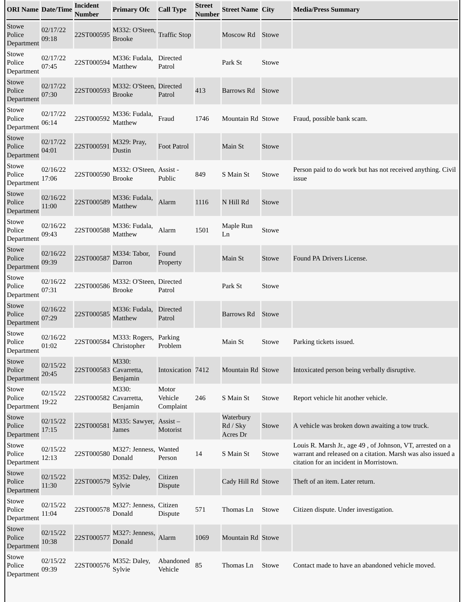| <b>ORI Name Date/Time</b>     |                   | <b>Incident</b><br><b>Number</b> | <b>Primary Ofc</b>                       | <b>Call Type</b>              | <b>Street</b><br><b>Number</b> | <b>Street Name City</b>           |       | <b>Media/Press Summary</b>                                                                                                                                          |
|-------------------------------|-------------------|----------------------------------|------------------------------------------|-------------------------------|--------------------------------|-----------------------------------|-------|---------------------------------------------------------------------------------------------------------------------------------------------------------------------|
| Stowe<br>Police<br>Department | 02/17/22<br>09:18 | 22ST000595                       | M332: O'Steen,<br><b>Brooke</b>          | <b>Traffic Stop</b>           |                                | Moscow Rd Stowe                   |       |                                                                                                                                                                     |
| Stowe<br>Police<br>Department | 02/17/22<br>07:45 | 22ST000594                       | M336: Fudala,<br>Matthew                 | Directed<br>Patrol            |                                | Park St                           | Stowe |                                                                                                                                                                     |
| Stowe<br>Police<br>Department | 02/17/22<br>07:30 | 22ST000593                       | M332: O'Steen, Directed<br><b>Brooke</b> | Patrol                        | 413                            | Barrows Rd                        | Stowe |                                                                                                                                                                     |
| Stowe<br>Police<br>Department | 02/17/22<br>06:14 | 22ST000592                       | M336: Fudala,<br>Matthew                 | Fraud                         | 1746                           | Mountain Rd Stowe                 |       | Fraud, possible bank scam.                                                                                                                                          |
| Stowe<br>Police<br>Department | 02/17/22<br>04:01 | 22ST000591                       | M329: Pray,<br>Dustin                    | <b>Foot Patrol</b>            |                                | Main St                           | Stowe |                                                                                                                                                                     |
| Stowe<br>Police<br>Department | 02/16/22<br>17:06 | 22ST000590                       | M332: O'Steen, Assist -<br><b>Brooke</b> | Public                        | 849                            | S Main St                         | Stowe | Person paid to do work but has not received anything. Civil<br>issue                                                                                                |
| Stowe<br>Police<br>Department | 02/16/22<br>11:00 | 22ST000589                       | M336: Fudala,<br>Matthew                 | Alarm                         | 1116                           | N Hill Rd                         | Stowe |                                                                                                                                                                     |
| Stowe<br>Police<br>Department | 02/16/22<br>09:43 | 22ST000588                       | M336: Fudala,<br>Matthew                 | Alarm                         | 1501                           | Maple Run<br>Ln                   | Stowe |                                                                                                                                                                     |
| Stowe<br>Police<br>Department | 02/16/22<br>09:39 | 22ST000587                       | M334: Tabor,<br>Darron                   | Found<br>Property             |                                | Main St                           | Stowe | Found PA Drivers License.                                                                                                                                           |
| Stowe<br>Police<br>Department | 02/16/22<br>07:31 | 22ST000586                       | M332: O'Steen, Directed<br><b>Brooke</b> | Patrol                        |                                | Park St                           | Stowe |                                                                                                                                                                     |
| Stowe<br>Police<br>Department | 02/16/22<br>07:29 | 22ST000585                       | M336: Fudala,<br>Matthew                 | Directed<br>Patrol            |                                | Barrows Rd                        | Stowe |                                                                                                                                                                     |
| Stowe<br>Police<br>Department | 02/16/22<br>01:02 | 22ST000584                       | M333: Rogers, Parking<br>Christopher     | Problem                       |                                | Main St                           | Stowe | Parking tickets issued.                                                                                                                                             |
| Stowe<br>Police<br>Department | 02/15/22<br>20:45 | 22ST000583 Cavarretta,           | M330:<br>Benjamin                        | Intoxication 7412             |                                | Mountain Rd Stowe                 |       | Intoxicated person being verbally disruptive.                                                                                                                       |
| Stowe<br>Police<br>Department | 02/15/22<br>19:22 | 22ST000582 Cavarretta,           | M330:<br>Benjamin                        | Motor<br>Vehicle<br>Complaint | 246                            | S Main St                         | Stowe | Report vehicle hit another vehicle.                                                                                                                                 |
| Stowe<br>Police<br>Department | 02/15/22<br>17:15 | 22ST000581                       | M335: Sawyer, Assist -<br>James          | Motorist                      |                                | Waterbury<br>Rd / Sky<br>Acres Dr | Stowe | A vehicle was broken down awaiting a tow truck.                                                                                                                     |
| Stowe<br>Police<br>Department | 02/15/22<br>12:13 | 22ST000580                       | M327: Jenness, Wanted<br>Donald          | Person                        | 14                             | S Main St                         | Stowe | Louis R. Marsh Jr., age 49, of Johnson, VT, arrested on a<br>warrant and released on a citation. Marsh was also issued a<br>citation for an incident in Morristown. |
| Stowe<br>Police<br>Department | 02/15/22<br>11:30 | 22ST000579                       | M352: Daley,<br>Sylvie                   | Citizen<br><b>Dispute</b>     |                                | Cady Hill Rd Stowe                |       | Theft of an item. Later return.                                                                                                                                     |
| Stowe<br>Police<br>Department | 02/15/22<br>11:04 | 22ST000578                       | M327: Jenness, Citizen<br>Donald         | Dispute                       | 571                            | Thomas Ln                         | Stowe | Citizen dispute. Under investigation.                                                                                                                               |
| Stowe<br>Police<br>Department | 02/15/22<br>10:38 | 22ST000577                       | M327: Jenness,<br>Donald                 | Alarm                         | 1069                           | Mountain Rd Stowe                 |       |                                                                                                                                                                     |
| Stowe<br>Police<br>Department | 02/15/22<br>09:39 | 22ST000576                       | M352: Daley,<br>Sylvie                   | Abandoned<br>Vehicle          | 85                             | Thomas Ln                         | Stowe | Contact made to have an abandoned vehicle moved.                                                                                                                    |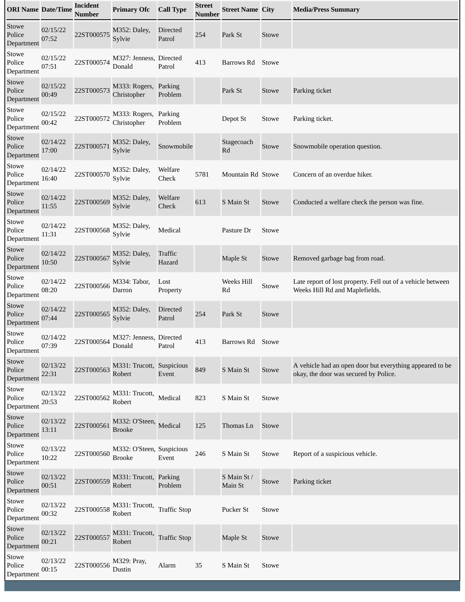| <b>ORI Name Date/Time</b>     |                   | <b>Incident</b><br><b>Number</b> | <b>Primary Ofc</b>                         | <b>Call Type</b>          | <b>Street</b><br>Number | <b>Street Name City</b> |       | <b>Media/Press Summary</b>                                                                        |
|-------------------------------|-------------------|----------------------------------|--------------------------------------------|---------------------------|-------------------------|-------------------------|-------|---------------------------------------------------------------------------------------------------|
| Stowe<br>Police<br>Department | 02/15/22<br>07:52 | 22ST000575                       | M352: Daley,<br>Sylvie                     | <b>Directed</b><br>Patrol | 254                     | Park St                 | Stowe |                                                                                                   |
| Stowe<br>Police<br>Department | 02/15/22<br>07:51 | 22ST000574                       | M327: Jenness, Directed<br>Donald          | Patrol                    | 413                     | Barrows Rd              | Stowe |                                                                                                   |
| Stowe<br>Police<br>Department | 02/15/22<br>00:49 | 22ST000573                       | M333: Rogers,<br>Christopher               | Parking<br>Problem        |                         | Park St                 | Stowe | Parking ticket                                                                                    |
| Stowe<br>Police<br>Department | 02/15/22<br>00:42 | 22ST000572                       | M333: Rogers,<br>Christopher               | Parking<br>Problem        |                         | Depot St                | Stowe | Parking ticket.                                                                                   |
| Stowe<br>Police<br>Department | 02/14/22<br>17:00 | 22ST000571                       | M352: Daley,<br>Sylvie                     | Snowmobile                |                         | Stagecoach<br>Rd        | Stowe | Snowmobile operation question.                                                                    |
| Stowe<br>Police<br>Department | 02/14/22<br>16:40 | 22ST000570                       | M352: Daley,<br>Sylvie                     | Welfare<br>Check          | 5781                    | Mountain Rd Stowe       |       | Concern of an overdue hiker.                                                                      |
| Stowe<br>Police<br>Department | 02/14/22<br>11:55 | 22ST000569                       | M352: Daley,<br>Sylvie                     | Welfare<br>Check          | 613                     | S Main St               | Stowe | Conducted a welfare check the person was fine.                                                    |
| Stowe<br>Police<br>Department | 02/14/22<br>11:31 | 22ST000568                       | M352: Daley,<br>Sylvie                     | Medical                   |                         | Pasture Dr              | Stowe |                                                                                                   |
| Stowe<br>Police<br>Department | 02/14/22<br>10:50 | 22ST000567                       | M352: Daley,<br>Sylvie                     | Traffic<br>Hazard         |                         | Maple St                | Stowe | Removed garbage bag from road.                                                                    |
| Stowe<br>Police<br>Department | 02/14/22<br>08:20 | 22ST000566                       | M334: Tabor,<br>Darron                     | Lost<br>Property          |                         | Weeks Hill<br>Rd        | Stowe | Late report of lost property. Fell out of a vehicle between<br>Weeks Hill Rd and Maplefields.     |
| Stowe<br>Police<br>Department | 02/14/22<br>07:44 | 22ST000565                       | M352: Daley,<br>Sylvie                     | <b>Directed</b><br>Patrol | 254                     | Park St                 | Stowe |                                                                                                   |
| Stowe<br>Police<br>Department | 02/14/22<br>07:39 | 22ST000564                       | M327: Jenness, Directed<br>Donald          | Patrol                    | 413                     | Barrows Rd              | Stowe |                                                                                                   |
| Stowe<br>Police<br>Department | 02/13/22<br>22:31 | 22ST000563                       | M331: Trucott, Suspicious<br>Robert        | Event                     | 849                     | S Main St               | Stowe | A vehicle had an open door but everything appeared to be<br>okay, the door was secured by Police. |
| Stowe<br>Police<br>Department | 02/13/22<br>20:53 | 22ST000562                       | M331: Trucott,<br>Robert                   | Medical                   | 823                     | S Main St               | Stowe |                                                                                                   |
| Stowe<br>Police<br>Department | 02/13/22<br>13:11 | 22ST000561                       | M332: O'Steen, Medical<br><b>Brooke</b>    |                           | 125                     | Thomas Ln               | Stowe |                                                                                                   |
| Stowe<br>Police<br>Department | 02/13/22<br>10:22 | 22ST000560                       | M332: O'Steen, Suspicious<br><b>Brooke</b> | Event                     | 246                     | S Main St               | Stowe | Report of a suspicious vehicle.                                                                   |
| Stowe<br>Police<br>Department | 02/13/22<br>00:51 | 22ST000559                       | M331: Trucott, Parking<br>Robert           | Problem                   |                         | S Main St /<br>Main St  | Stowe | Parking ticket                                                                                    |
| Stowe<br>Police<br>Department | 02/13/22<br>00:32 | 22ST000558                       | M331: Trucott,<br>Robert                   | <b>Traffic Stop</b>       |                         | Pucker St               | Stowe |                                                                                                   |
| Stowe<br>Police<br>Department | 02/13/22<br>00:21 | 22ST000557                       | M331: Trucott,<br>Robert                   | <b>Traffic Stop</b>       |                         | Maple St                | Stowe |                                                                                                   |
| Stowe<br>Police<br>Department | 02/13/22<br>00:15 | 22ST000556                       | M329: Pray,<br>Dustin                      | Alarm                     | 35                      | S Main St               | Stowe |                                                                                                   |